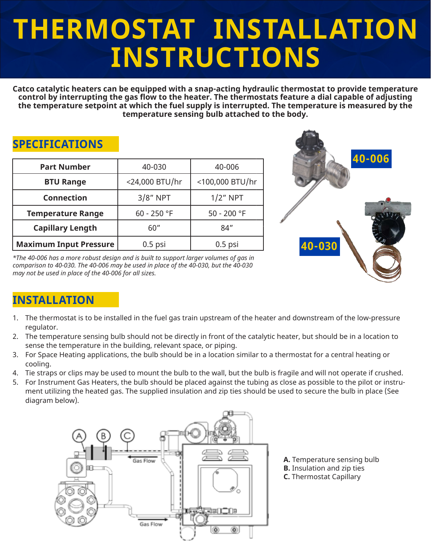# **THERMOSTAT INSTALLATION INSTRUCTIONS**

**Catco catalytic heaters can be equipped with a snap-acting hydraulic thermostat to provide temperature control by interrupting the gas flow to the heater. The thermostats feature a dial capable of adjusting the temperature setpoint at which the fuel supply is interrupted. The temperature is measured by the temperature sensing bulb attached to the body.**

#### **SPECIFICATIONS**

| <b>Part Number</b>            | 40-030         | 40-006          |        |
|-------------------------------|----------------|-----------------|--------|
| <b>BTU Range</b>              | <24,000 BTU/hr | <100,000 BTU/hr |        |
| <b>Connection</b>             | $3/8"$ NPT     | $1/2$ " NPT     |        |
| <b>Temperature Range</b>      | 60 - 250 °F    | 50 - 200 °F     |        |
| <b>Capillary Length</b>       | 60"            | 84"             |        |
| <b>Maximum Input Pressure</b> | $0.5$ psi      | $0.5$ psi       | 40-030 |

*\*The 40-006 has a more robust design and is built to support larger volumes of gas in comparison to 40-030. The 40-006 may be used in place of the 40-030, but the 40-030 may not be used in place of the 40-006 for all sizes.*



## **INSTALLATION**

- 1. The thermostat is to be installed in the fuel gas train upstream of the heater and downstream of the low-pressure regulator.
- 2. The temperature sensing bulb should not be directly in front of the catalytic heater, but should be in a location to sense the temperature in the building, relevant space, or piping.
- 3. For Space Heating applications, the bulb should be in a location similar to a thermostat for a central heating or cooling.
- 4. Tie straps or clips may be used to mount the bulb to the wall, but the bulb is fragile and will not operate if crushed.
- 5. For Instrument Gas Heaters, the bulb should be placed against the tubing as close as possible to the pilot or instrument utilizing the heated gas. The supplied insulation and zip ties should be used to secure the bulb in place (See diagram below).



**A.** Temperature sensing bulb **B.** Insulation and zip ties **C.** Thermostat Capillary